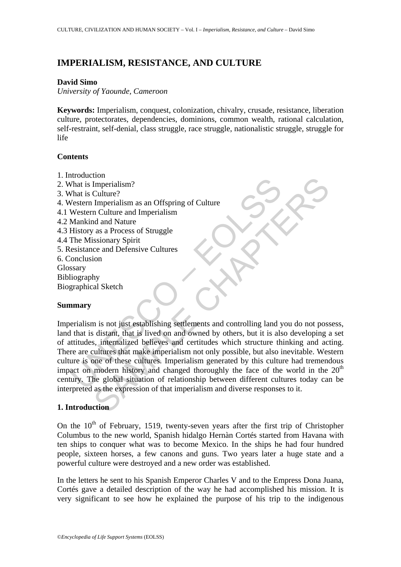## **IMPERIALISM, RESISTANCE, AND CULTURE**

### **David Simo**

*University of Yaounde, Cameroon* 

**Keywords:** Imperialism, conquest, colonization, chivalry, crusade, resistance, liberation culture, protectorates, dependencies, dominions, common wealth, rational calculation, self-restraint, self-denial, class struggle, race struggle, nationalistic struggle, struggle for life

### **Contents**

- 1. Introduction
- 2. What is Imperialism?
- 3. What is Culture?
- 4. Western Imperialism as an Offspring of Culture
- 4.1 Western Culture and Imperialism
- 4.2 Mankind and Nature
- 4.3 History as a Process of Struggle
- 4.4 The Missionary Spirit
- 5. Resistance and Defensive Cultures
- 6. Conclusion
- **Glossary**
- Bibliography
- Biographical Sketch

## **Summary**

The state of the state of the state of the state of the state of the state of the state of the state of the state of the state of the Missionary Spirit esistance and Defensive Cultures<br>
Missionary Spirit esistance and Defe Form and the metallism as an Offspring of Culture<br>
Imperialism?<br>
Culture?<br>
Imperialism as an Offspring of Culture<br>
ord and Nature<br>
and and Nature<br>
ce and Defensive Cultures<br>
com<br>
by<br>
why<br>
al Sketch<br>
on<br>
in<br>
in is not just Imperialism is not just establishing settlements and controlling land you do not possess, land that is distant, that is lived on and owned by others, but it is also developing a set of attitudes, internalized believes and certitudes which structure thinking and acting. There are cultures that make imperialism not only possible, but also inevitable. Western culture is one of these cultures. Imperialism generated by this culture had tremendous impact on modern history and changed thoroughly the face of the world in the  $20<sup>th</sup>$ century. The global situation of relationship between different cultures today can be interpreted as the expression of that imperialism and diverse responses to it.

## **1. Introduction**

On the  $10<sup>th</sup>$  of February, 1519, twenty-seven years after the first trip of Christopher Columbus to the new world, Spanish hidalgo Hernàn Cortés started from Havana with ten ships to conquer what was to become Mexico. In the ships he had four hundred people, sixteen horses, a few canons and guns. Two years later a huge state and a powerful culture were destroyed and a new order was established.

In the letters he sent to his Spanish Emperor Charles V and to the Empress Dona Juana, Cortés gave a detailed description of the way he had accomplished his mission. It is very significant to see how he explained the purpose of his trip to the indigenous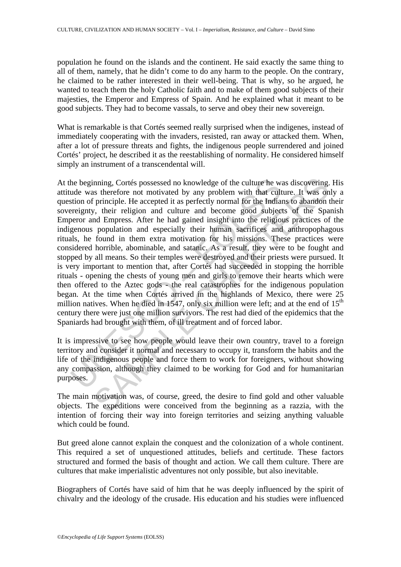population he found on the islands and the continent. He said exactly the same thing to all of them, namely, that he didn't come to do any harm to the people. On the contrary, he claimed to be rather interested in their well-being. That is why, so he argued, he wanted to teach them the holy Catholic faith and to make of them good subjects of their majesties, the Emperor and Empress of Spain. And he explained what it meant to be good subjects. They had to become vassals, to serve and obey their new sovereign.

What is remarkable is that Cortés seemed really surprised when the indigenes, instead of immediately cooperating with the invaders, resisted, ran away or attacked them. When, after a lot of pressure threats and fights, the indigenous people surrendered and joined Cortés' project, he described it as the reestablishing of normality. He considered himself simply an instrument of a transcendental will.

he beginning, Cortés possessed no knowledge of the culture he wude was therefore not motivated by any problem with that cult<br>tion of principle. He accepted it as perfectly normal for the India<br>reignty, their religion and c inning, Cortés possessed no knowledge of the culture he was discovering.<br>
In the refore not motivated by any problem with that culture. It was on<br>
principle. He accepted it as perfectly normal for the Indians to abandon<br>
I At the beginning, Cortés possessed no knowledge of the culture he was discovering. His attitude was therefore not motivated by any problem with that culture. It was only a question of principle. He accepted it as perfectly normal for the Indians to abandon their sovereignty, their religion and culture and become good subjects of the Spanish Emperor and Empress. After he had gained insight into the religious practices of the indigenous population and especially their human sacrifices and anthropophagous rituals, he found in them extra motivation for his missions. These practices were considered horrible, abominable, and satanic. As a result, they were to be fought and stopped by all means. So their temples were destroyed and their priests were pursued. It is very important to mention that, after Cortés had succeeded in stopping the horrible rituals - opening the chests of young men and girls to remove their hearts which were then offered to the Aztec gods - the real catastrophes for the indigenous population began. At the time when Cortés arrived in the highlands of Mexico, there were 25 million natives. When he died in 1547, only six million were left; and at the end of  $15<sup>th</sup>$ century there were just one million survivors. The rest had died of the epidemics that the Spaniards had brought with them, of ill treatment and of forced labor.

It is impressive to see how people would leave their own country, travel to a foreign territory and consider it normal and necessary to occupy it, transform the habits and the life of the indigenous people and force them to work for foreigners, without showing any compassion, although they claimed to be working for God and for humanitarian purposes.

The main motivation was, of course, greed, the desire to find gold and other valuable objects. The expeditions were conceived from the beginning as a razzia, with the intention of forcing their way into foreign territories and seizing anything valuable which could be found.

But greed alone cannot explain the conquest and the colonization of a whole continent. This required a set of unquestioned attitudes, beliefs and certitude. These factors structured and formed the basis of thought and action. We call them culture. There are cultures that make imperialistic adventures not only possible, but also inevitable.

Biographers of Cortés have said of him that he was deeply influenced by the spirit of chivalry and the ideology of the crusade. His education and his studies were influenced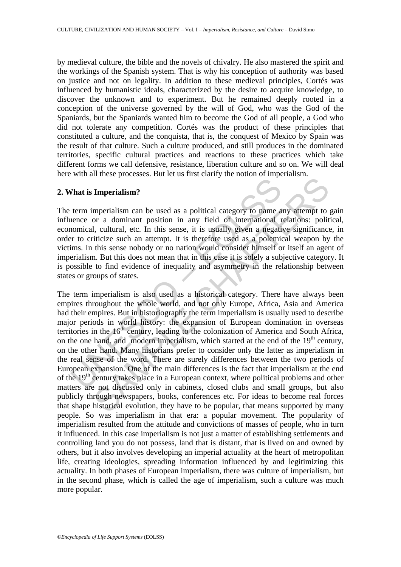by medieval culture, the bible and the novels of chivalry. He also mastered the spirit and the workings of the Spanish system. That is why his conception of authority was based on justice and not on legality. In addition to these medieval principles, Cortés was influenced by humanistic ideals, characterized by the desire to acquire knowledge, to discover the unknown and to experiment. But he remained deeply rooted in a conception of the universe governed by the will of God, who was the God of the Spaniards, but the Spaniards wanted him to become the God of all people, a God who did not tolerate any competition. Cortés was the product of these principles that constituted a culture, and the conquista, that is, the conquest of Mexico by Spain was the result of that culture. Such a culture produced, and still produces in the dominated territories, specific cultural practices and reactions to these practices which take different forms we call defensive, resistance, liberation culture and so on. We will deal here with all these processes. But let us first clarify the notion of imperialism.

### **2. What is Imperialism?**

The term imperialism can be used as a political category to name any attempt to gain influence or a dominant position in any field of international relations: political, economical, cultural, etc. In this sense, it is usually given a negative significance, in order to criticize such an attempt. It is therefore used as a polemical weapon by the victims. In this sense nobody or no nation would consider himself or itself an agent of imperialism. But this does not mean that in this case it is solely a subjective category. It is possible to find evidence of inequality and asymmetry in the relationship between states or groups of states.

**That is Imperialism?**<br>
term imperialism can be used as a political category to name a<br>
tenne or a dominant position in any field of international r<br>
nomical, cultural, etc. In this sense, it is usually given a negatir<br>
t **Imperialism?**<br> **Imperialism?**<br> **Imperialism?**<br> **Imperialism can be used as a political category to name any attempt to**<br>
or a dominant position in any field of international relations: polit<br>
1, cultural, etc. In this se The term imperialism is also used as a historical category. There have always been empires throughout the whole world, and not only Europe, Africa, Asia and America had their empires. But in historiography the term imperialism is usually used to describe major periods in world history: the expansion of European domination in overseas territories in the  $16<sup>th</sup>$  century, leading to the colonization of America and South Africa, on the one hand, and modern imperialism, which started at the end of the  $19<sup>th</sup>$  century, on the other hand. Many historians prefer to consider only the latter as imperialism in the real sense of the word. There are surely differences between the two periods of European expansion. One of the main differences is the fact that imperialism at the end of the 19<sup>th</sup> century takes place in a European context, where political problems and other matters are not discussed only in cabinets, closed clubs and small groups, but also publicly through newspapers, books, conferences etc. For ideas to become real forces that shape historical evolution, they have to be popular, that means supported by many people. So was imperialism in that era: a popular movement. The popularity of imperialism resulted from the attitude and convictions of masses of people, who in turn it influenced. In this case imperialism is not just a matter of establishing settlements and controlling land you do not possess, land that is distant, that is lived on and owned by others, but it also involves developing an imperial actuality at the heart of metropolitan life, creating ideologies, spreading information influenced by and legitimizing this actuality. In both phases of European imperialism, there was culture of imperialism, but in the second phase, which is called the age of imperialism, such a culture was much more popular.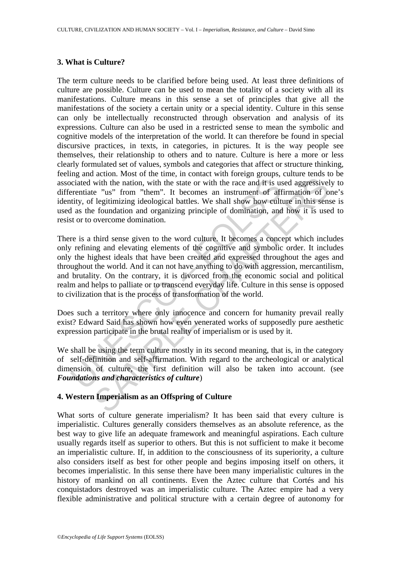#### **3. What is Culture?**

The term culture needs to be clarified before being used. At least three definitions of culture are possible. Culture can be used to mean the totality of a society with all its manifestations. Culture means in this sense a set of principles that give all the manifestations of the society a certain unity or a special identity. Culture in this sense can only be intellectually reconstructed through observation and analysis of its expressions. Culture can also be used in a restricted sense to mean the symbolic and cognitive models of the interpretation of the world. It can therefore be found in special discursive practices, in texts, in categories, in pictures. It is the way people see themselves, their relationship to others and to nature. Culture is here a more or less clearly formulated set of values, symbols and categories that affect or structure thinking, feeling and action. Most of the time, in contact with foreign groups, culture tends to be associated with the nation, with the state or with the race and it is used aggressively to differentiate "us" from "them". It becomes an instrument of affirmation of one's identity, of legitimizing ideological battles. We shall show how culture in this sense is used as the foundation and organizing principle of domination, and how it is used to resist or to overcome domination.

ociated with the nation, with the state or with the race and it is us<br>remtiate "us" from "them". It becomes an instrument of aff<br>tity, of legitimizing ideological battles. We shall show how cult<br>as the foundation and organ with the nation, with the state or with the race and it is used aggressive<br>le "us" from "them". It becomes an instrument of affirmation of o<br>legitimizing ideological battles. We shall show how culture in this sense<br>is leg There is a third sense given to the word culture. It becomes a concept which includes only refining and elevating elements of the cognitive and symbolic order. It includes only the highest ideals that have been created and expressed throughout the ages and throughout the world. And it can not have anything to do with aggression, mercantilism, and brutality. On the contrary, it is divorced from the economic social and political realm and helps to palliate or to transcend everyday life. Culture in this sense is opposed to civilization that is the process of transformation of the world.

Does such a territory where only innocence and concern for humanity prevail really exist? Edward Said has shown how even venerated works of supposedly pure aesthetic expression participate in the brutal reality of imperialism or is used by it.

We shall be using the term culture mostly in its second meaning, that is, in the category of self-definition and self-affirmation. With regard to the archeological or analytical dimension of culture, the first definition will also be taken into account. (see *Foundations and characteristics of culture*)

## **4. Western Imperialism as an Offspring of Culture**

What sorts of culture generate imperialism? It has been said that every culture is imperialistic. Cultures generally considers themselves as an absolute reference, as the best way to give life an adequate framework and meaningful aspirations. Each culture usually regards itself as superior to others. But this is not sufficient to make it become an imperialistic culture. If, in addition to the consciousness of its superiority, a culture also considers itself as best for other people and begins imposing itself on others, it becomes imperialistic. In this sense there have been many imperialistic cultures in the history of mankind on all continents. Even the Aztec culture that Cortés and his conquistadors destroyed was an imperialistic culture. The Aztec empire had a very flexible administrative and political structure with a certain degree of autonomy for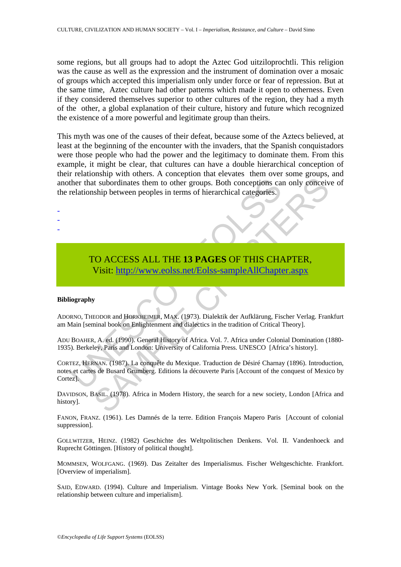some regions, but all groups had to adopt the Aztec God uitziloprochtli. This religion was the cause as well as the expression and the instrument of domination over a mosaic of groups which accepted this imperialism only under force or fear of repression. But at the same time, Aztec culture had other patterns which made it open to otherness. Even if they considered themselves superior to other cultures of the region, they had a myth of the other, a global explanation of their culture, history and future which recognized the existence of a more powerful and legitimate group than theirs.

This myth was one of the causes of their defeat, because some of the Aztecs believed, at least at the beginning of the encounter with the invaders, that the Spanish conquistadors were those people who had the power and the legitimacy to dominate them. From this example, it might be clear, that cultures can have a double hierarchical conception of their relationship with others. A conception that elevates them over some groups, and another that subordinates them to other groups. Both conceptions can only conceive of the relationship between peoples in terms of hierarchical categories.

# TO ACCESS ALL THE **13 PAGES** OF THIS CHAPTER, Visit: http://www.eolss.net/Eolss-sampleAllChapter.aspx

#### **Bibliography**

- - -

ADORNO, THEODOR and HORKHEIMER, MAX. (1973). Dialektik der Aufklärung, Fischer Verlag. Frankfurt am Main [seminal book on Enlightenment and dialectics in the tradition of Critical Theory].

ADU BOAHER, A. ed. (1990). General History of Africa. Vol. 7. Africa under Colonial Domination (1880- 1935). Berkeley, Paris and London: University of California Press. UNESCO [Africa's history].

The that subordinates them to other groups. Both conceptions carelationship between peoples in terms of hierarchical categories.<br>
TO ACCESS ALL THE 13 PAGES OF THIS CHA Visit: http://www.eolss.net/Eolss-sampleAllChapte<br>
Vi It subordinates them to other groups. Both conceptions can only geneeviship between peoples in terms of hierarchical categories.<br>
Ship between peoples in terms of hierarchical categories.<br>
Ship between peoples in terms of CORTEZ, HERNAN. (1987). La conquête du Mexique. Traduction de Désiré Charnay (1896). Introduction, notes et cartes de Busard Grumberg. Editions la découverte Paris [Account of the conquest of Mexico by Cortez].

DAVIDSON, BASIL. (1978). Africa in Modern History, the search for a new society, London [Africa and history].

FANON, FRANZ. (1961). Les Damnés de la terre. Edition François Mapero Paris [Account of colonial suppression].

GOLLWITZER, HEINZ. (1982) Geschichte des Weltpolitischen Denkens. Vol. II. Vandenhoeck and Ruprecht Göttingen. [History of political thought].

MOMMSEN, WOLFGANG. (1969). Das Zeitalter des Imperialismus. Fischer Weltgeschichte. Frankfort. [Overview of imperialism].

SAID, EDWARD. (1994). Culture and Imperialism. Vintage Books New York. [Seminal book on the relationship between culture and imperialism].